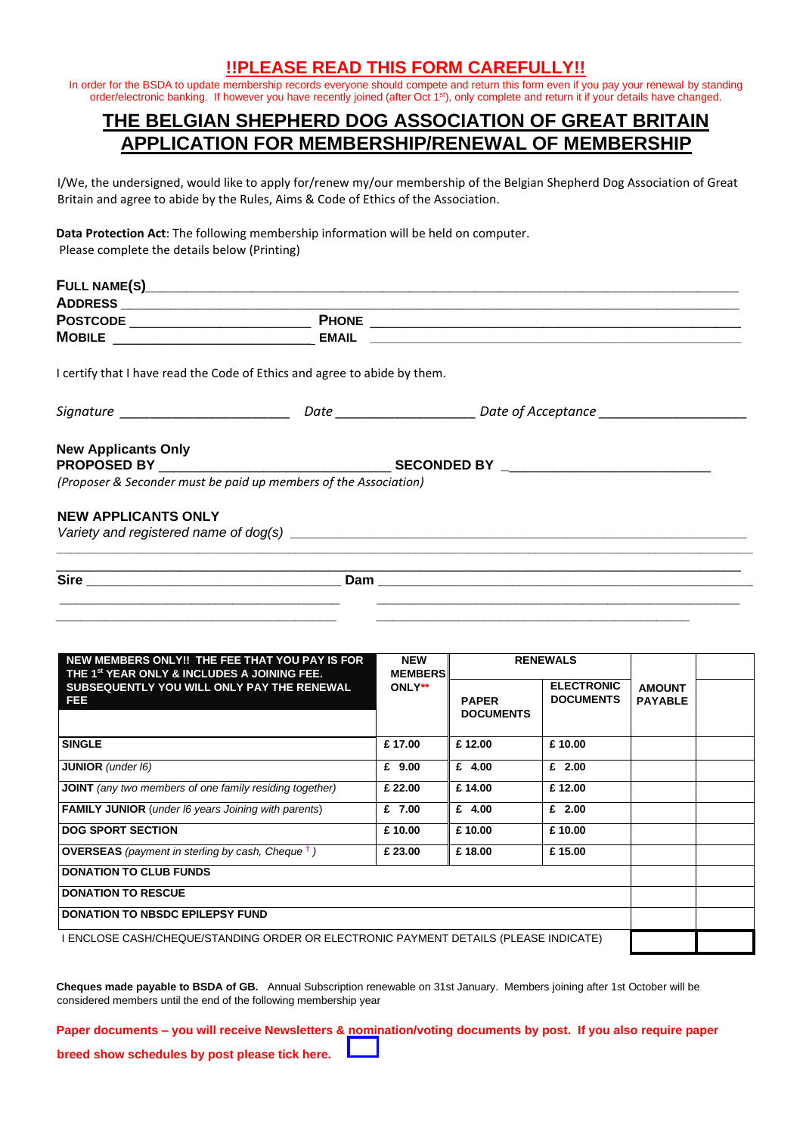## **!!PLEASE READ THIS FORM CAREFULLY!!**

In order for the BSDA to update membership records everyone should compete and return this form even if you pay your renewal by standing order/electronic banking. If however you have recently joined (after Oct 1<sup>st</sup>), only complete and return it if your details have changed.

## **THE BELGIAN SHEPHERD DOG ASSOCIATION OF GREAT BRITAIN APPLICATION FOR MEMBERSHIP/RENEWAL OF MEMBERSHIP**

I/We, the undersigned, would like to apply for/renew my/our membership of the Belgian Shepherd Dog Association of Great Britain and agree to abide by the Rules, Aims & Code of Ethics of the Association.

**Data Protection Act**: The following membership information will be held on computer. Please complete the details below (Printing)

| POSTCODE ___________________________                                      |                                                                                                                                                                                                                               |  |
|---------------------------------------------------------------------------|-------------------------------------------------------------------------------------------------------------------------------------------------------------------------------------------------------------------------------|--|
|                                                                           |                                                                                                                                                                                                                               |  |
| I certify that I have read the Code of Ethics and agree to abide by them. |                                                                                                                                                                                                                               |  |
| Signature _________________________                                       | Date _____________________________ Date of Acceptance __________________________                                                                                                                                              |  |
| <b>New Applicants Only</b>                                                |                                                                                                                                                                                                                               |  |
|                                                                           |                                                                                                                                                                                                                               |  |
| (Proposer & Seconder must be paid up members of the Association)          |                                                                                                                                                                                                                               |  |
| <b>NEW APPLICANTS ONLY</b>                                                |                                                                                                                                                                                                                               |  |
|                                                                           | Variety and registered name of dog(s) example and a series of the state of the state of the state of the state of the state of the state of the state of the state of the state of the state of the state of the state of the |  |
|                                                                           |                                                                                                                                                                                                                               |  |
|                                                                           |                                                                                                                                                                                                                               |  |
|                                                                           |                                                                                                                                                                                                                               |  |

*\_\_\_\_\_\_\_\_\_\_\_\_\_\_\_\_\_\_\_\_\_\_\_\_\_\_\_\_\_\_\_\_\_\_ \_\_\_\_\_\_\_\_\_\_\_\_\_\_\_\_\_\_\_\_\_\_\_\_\_\_\_\_\_\_\_\_\_\_\_\_\_\_* 

| NEW MEMBERS ONLY!! THE FEE THAT YOU PAY IS FOR<br>THE 1 <sup>st</sup> YEAR ONLY & INCLUDES A JOINING FEE. | <b>NEW</b><br><b>MEMBERS</b> |                                  | <b>RENEWALS</b>                       |                                 |  |  |  |  |
|-----------------------------------------------------------------------------------------------------------|------------------------------|----------------------------------|---------------------------------------|---------------------------------|--|--|--|--|
| SUBSEQUENTLY YOU WILL ONLY PAY THE RENEWAL<br>FEE                                                         | ONLY**                       | <b>PAPER</b><br><b>DOCUMENTS</b> | <b>ELECTRONIC</b><br><b>DOCUMENTS</b> | <b>AMOUNT</b><br><b>PAYABLE</b> |  |  |  |  |
|                                                                                                           |                              |                                  |                                       |                                 |  |  |  |  |
| <b>SINGLE</b>                                                                                             | £17.00                       | £12.00                           | £10.00                                |                                 |  |  |  |  |
| <b>JUNIOR</b> (under I6)                                                                                  | £ $9.00$                     | £ $4.00$                         | £ $2.00$                              |                                 |  |  |  |  |
| <b>JOINT</b> (any two members of one family residing together)                                            | £ 22.00                      | £14.00                           | £12.00                                |                                 |  |  |  |  |
| <b>FAMILY JUNIOR</b> (under 16 years Joining with parents)                                                | £ 7.00                       | £ $4.00$                         | £ $2.00$                              |                                 |  |  |  |  |
| <b>DOG SPORT SECTION</b>                                                                                  | £10.00                       | £10.00                           | £10.00                                |                                 |  |  |  |  |
| <b>OVERSEAS</b> (payment in sterling by cash, Cheque $\dagger$ )                                          | £ 23.00                      | £18.00                           | £15.00                                |                                 |  |  |  |  |
| <b>DONATION TO CLUB FUNDS</b>                                                                             |                              |                                  |                                       |                                 |  |  |  |  |
| <b>DONATION TO RESCUE</b>                                                                                 |                              |                                  |                                       |                                 |  |  |  |  |
| <b>DONATION TO NBSDC EPILEPSY FUND</b>                                                                    |                              |                                  |                                       |                                 |  |  |  |  |
| I ENCLOSE CASH/CHEQUE/STANDING ORDER OR ELECTRONIC PAYMENT DETAILS (PLEASE INDICATE)                      |                              |                                  |                                       |                                 |  |  |  |  |

**Cheques made payable to BSDA of GB.** Annual Subscription renewable on 31st January. Members joining after 1st October will be considered members until the end of the following membership year

**Paper documents – you will receive Newsletters & nomination/voting documents by post. If you also require paper** 

**breed show schedules by post please tick here.**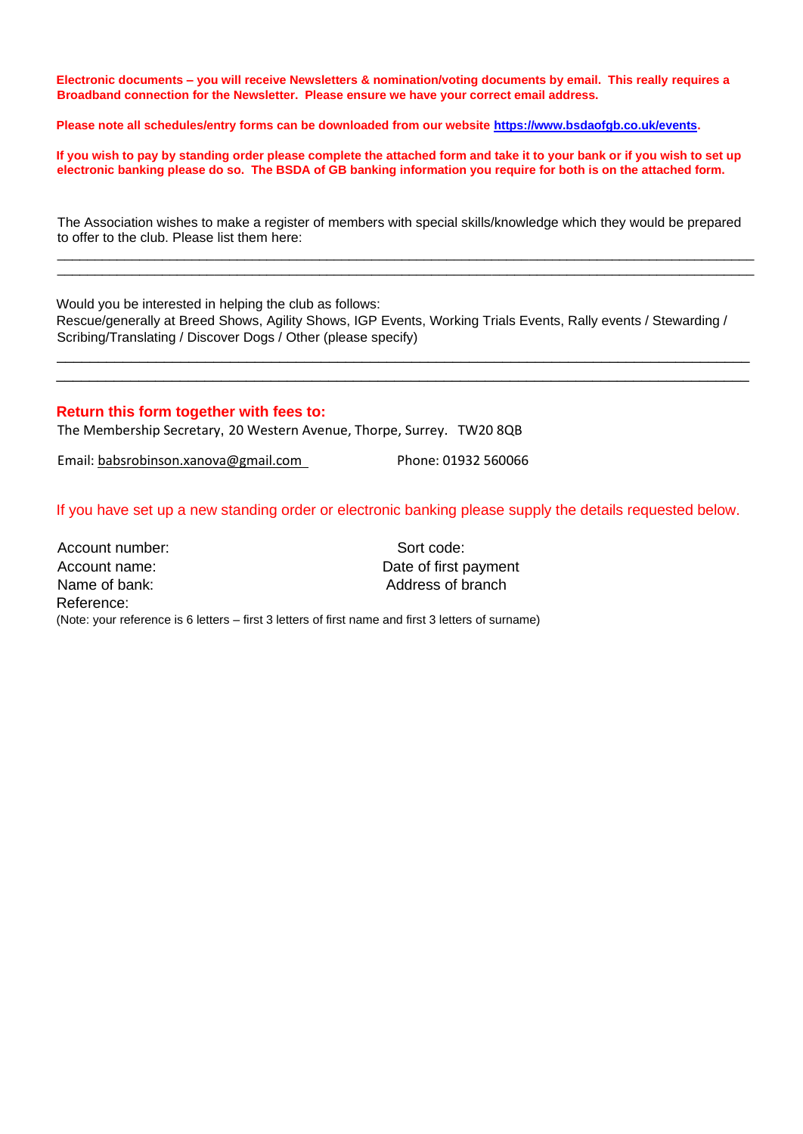**Electronic documents – you will receive Newsletters & nomination/voting documents by email. This really requires a Broadband connection for the Newsletter. Please ensure we have your correct email address.** 

**Please note all schedules/entry forms can be downloaded from our website [https://www.bsdaofgb.co.uk/events.](https://www.bsdaofgb.co.uk/events)**

**If you wish to pay by standing order please complete the attached form and take it to your bank or if you wish to set up electronic banking please do so. The BSDA of GB banking information you require for both is on the attached form.** 

The Association wishes to make a register of members with special skills/knowledge which they would be prepared to offer to the club. Please list them here: \_\_\_\_\_\_\_\_\_\_\_\_\_\_\_\_\_\_\_\_\_\_\_\_\_\_\_\_\_\_\_\_\_\_\_\_\_\_\_\_\_\_\_\_\_\_\_\_\_\_\_\_\_\_\_\_\_\_\_\_\_\_\_\_\_\_\_\_\_\_\_\_\_\_\_\_\_\_\_\_\_\_\_\_\_\_\_\_\_\_\_\_\_

\_\_\_\_\_\_\_\_\_\_\_\_\_\_\_\_\_\_\_\_\_\_\_\_\_\_\_\_\_\_\_\_\_\_\_\_\_\_\_\_\_\_\_\_\_\_\_\_\_\_\_\_\_\_\_\_\_\_\_\_\_\_\_\_\_\_\_\_\_\_\_\_\_\_\_\_\_\_\_\_\_\_\_\_\_\_\_\_\_\_\_\_\_

Would you be interested in helping the club as follows: Rescue/generally at Breed Shows, Agility Shows, IGP Events, Working Trials Events, Rally events / Stewarding / Scribing/Translating / Discover Dogs / Other (please specify)

\_\_\_\_\_\_\_\_\_\_\_\_\_\_\_\_\_\_\_\_\_\_\_\_\_\_\_\_\_\_\_\_\_\_\_\_\_\_\_\_\_\_\_\_\_\_\_\_\_\_\_\_\_\_\_\_\_\_\_\_\_\_\_\_\_\_\_\_\_\_\_\_\_\_\_\_\_\_\_\_\_\_\_\_ \_\_\_\_\_\_\_\_\_\_\_\_\_\_\_\_\_\_\_\_\_\_\_\_\_\_\_\_\_\_\_\_\_\_\_\_\_\_\_\_\_\_\_\_\_\_\_\_\_\_\_\_\_\_\_\_\_\_\_\_\_\_\_\_\_\_\_\_\_\_\_\_\_\_\_\_\_\_\_\_\_\_\_\_

#### **Return this form together with fees to:**

The Membership Secretary, 20 Western Avenue, Thorpe, Surrey. TW20 8QB

Email: [babsrobinson.xanova@gmail.com](mailto:babsrobinson.xanova@gmail.com) Phone: 01932 560066

If you have set up a new standing order or electronic banking please supply the details requested below.

| Account number: | Sort code:                                                                                         |
|-----------------|----------------------------------------------------------------------------------------------------|
| Account name:   | Date of first payment                                                                              |
| Name of bank:   | Address of branch                                                                                  |
| Reference:      |                                                                                                    |
|                 | (Note: your reference is 6 letters – first 3 letters of first name and first 3 letters of surname) |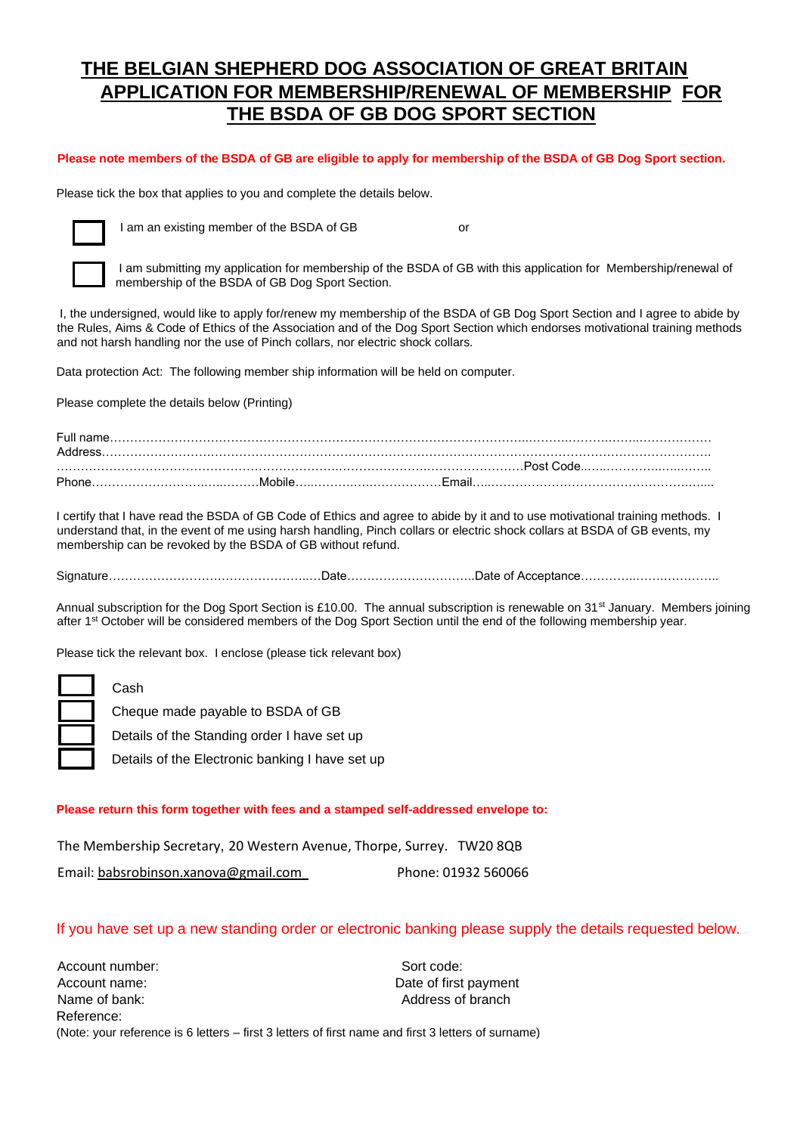# **THE BELGIAN SHEPHERD DOG ASSOCIATION OF GREAT BRITAIN APPLICATION FOR MEMBERSHIP/RENEWAL OF MEMBERSHIP FOR THE BSDA OF GB DOG SPORT SECTION**

#### **Please note members of the BSDA of GB are eligible to apply for membership of the BSDA of GB Dog Sport section.**

Please tick the box that applies to you and complete the details below.



I am an existing member of the BSDA of GB or

I am submitting my application for membership of the BSDA of GB with this application for Membership/renewal of membership of the BSDA of GB Dog Sport Section.

I, the undersigned, would like to apply for/renew my membership of the BSDA of GB Dog Sport Section and I agree to abide by the Rules, Aims & Code of Ethics of the Association and of the Dog Sport Section which endorses motivational training methods and not harsh handling nor the use of Pinch collars, nor electric shock collars.

Data protection Act: The following member ship information will be held on computer.

Please complete the details below (Printing)

| Full name.<br>Address |        |             |  |
|-----------------------|--------|-------------|--|
|                       |        | - Post Code |  |
| <b>Phone</b>          | Mobile | .Fmail      |  |

I certify that I have read the BSDA of GB Code of Ethics and agree to abide by it and to use motivational training methods. I understand that, in the event of me using harsh handling, Pinch collars or electric shock collars at BSDA of GB events, my membership can be revoked by the BSDA of GB without refund.

Signature…………………………………………..…Date…………………………..Date of Acceptance…………..…….…………..

Annual subscription for the Dog Sport Section is £10.00. The annual subscription is renewable on 31<sup>st</sup> January. Members joining after 1<sup>st</sup> October will be considered members of the Dog Sport Section until the end of the following membership year.

Please tick the relevant box. I enclose (please tick relevant box)

Cash

Cheque made payable to BSDA of GB

Details of the Standing order I have set up

Details of the Electronic banking I have set up

#### **Please return this form together with fees and a stamped self-addressed envelope to:**

The Membership Secretary, 20 Western Avenue, Thorpe, Surrey. TW20 8QB Email: [babsrobinson.xanova@gmail.com](mailto:babsrobinson.xanova@gmail.com) Phone: 01932 560066

#### If you have set up a new standing order or electronic banking please supply the details requested below.

Account number: Sort code: Sort code: Account name:  $\qquad \qquad$  Date of first payment Name of bank:  $\blacksquare$ Reference: (Note: your reference is 6 letters – first 3 letters of first name and first 3 letters of surname)